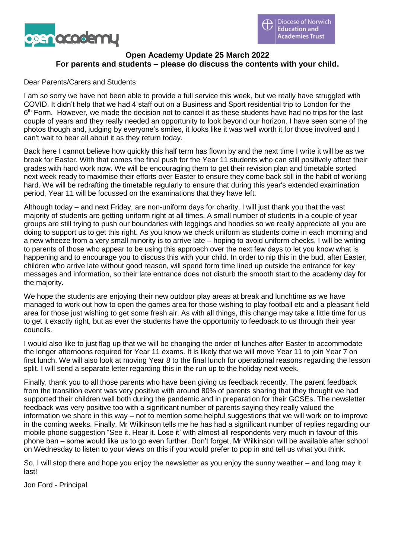

# **Open Academy Update 25 March 2022 For parents and students – please do discuss the contents with your child.**

### Dear Parents/Carers and Students

I am so sorry we have not been able to provide a full service this week, but we really have struggled with COVID. It didn't help that we had 4 staff out on a Business and Sport residential trip to London for the 6<sup>th</sup> Form. However, we made the decision not to cancel it as these students have had no trips for the last couple of years and they really needed an opportunity to look beyond our horizon. I have seen some of the photos though and, judging by everyone's smiles, it looks like it was well worth it for those involved and I can't wait to hear all about it as they return today.

Back here I cannot believe how quickly this half term has flown by and the next time I write it will be as we break for Easter. With that comes the final push for the Year 11 students who can still positively affect their grades with hard work now. We will be encouraging them to get their revision plan and timetable sorted next week ready to maximise their efforts over Easter to ensure they come back still in the habit of working hard. We will be redrafting the timetable regularly to ensure that during this year's extended examination period, Year 11 will be focussed on the examinations that they have left.

Although today – and next Friday, are non-uniform days for charity, I will just thank you that the vast majority of students are getting uniform right at all times. A small number of students in a couple of year groups are still trying to push our boundaries with leggings and hoodies so we really appreciate all you are doing to support us to get this right. As you know we check uniform as students come in each morning and a new wheeze from a very small minority is to arrive late – hoping to avoid uniform checks. I will be writing to parents of those who appear to be using this approach over the next few days to let you know what is happening and to encourage you to discuss this with your child. In order to nip this in the bud, after Easter, children who arrive late without good reason, will spend form time lined up outside the entrance for key messages and information, so their late entrance does not disturb the smooth start to the academy day for the majority.

We hope the students are enjoying their new outdoor play areas at break and lunchtime as we have managed to work out how to open the games area for those wishing to play football etc and a pleasant field area for those just wishing to get some fresh air. As with all things, this change may take a little time for us to get it exactly right, but as ever the students have the opportunity to feedback to us through their year councils.

I would also like to just flag up that we will be changing the order of lunches after Easter to accommodate the longer afternoons required for Year 11 exams. It is likely that we will move Year 11 to join Year 7 on first lunch. We will also look at moving Year 8 to the final lunch for operational reasons regarding the lesson split. I will send a separate letter regarding this in the run up to the holiday next week.

Finally, thank you to all those parents who have been giving us feedback recently. The parent feedback from the transition event was very positive with around 80% of parents sharing that they thought we had supported their children well both during the pandemic and in preparation for their GCSEs. The newsletter feedback was very positive too with a significant number of parents saying they really valued the information we share in this way – not to mention some helpful suggestions that we will work on to improve in the coming weeks. Finally, Mr Wilkinson tells me he has had a significant number of replies regarding our mobile phone suggestion "See it. Hear it. Lose it' with almost all respondents very much in favour of this phone ban – some would like us to go even further. Don't forget, Mr Wilkinson will be available after school on Wednesday to listen to your views on this if you would prefer to pop in and tell us what you think.

So, I will stop there and hope you enjoy the newsletter as you enjoy the sunny weather – and long may it last!

Jon Ford - Principal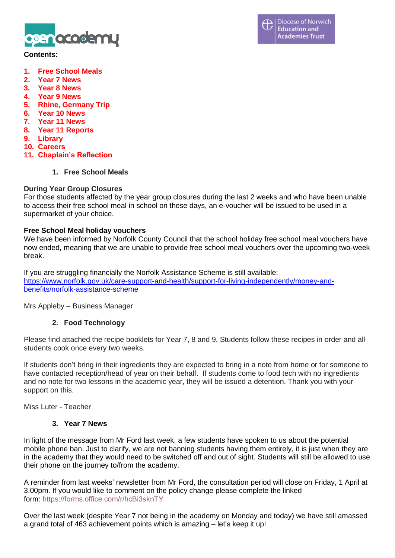

#### **Contents:**

- **1. Free School Meals**
- **2. Year 7 News**
- **3. Year 8 News**
- **4. Year 9 News**
- **5. Rhine, Germany Trip**
- **6. Year 10 News**
- **7. Year 11 News**
- **8. Year 11 Reports**
- **9. Library**
- **10. Careers**
- **11. Chaplain's Reflection**
	- **1. Free School Meals**

### **During Year Group Closures**

For those students affected by the year group closures during the last 2 weeks and who have been unable to access their free school meal in school on these days, an e-voucher will be issued to be used in a supermarket of your choice.

#### **Free School Meal holiday vouchers**

We have been informed by Norfolk County Council that the school holiday free school meal vouchers have now ended, meaning that we are unable to provide free school meal vouchers over the upcoming two-week break.

If you are struggling financially the Norfolk Assistance Scheme is still available: [https://www.norfolk.gov.uk/care-support-and-health/support-for-living-independently/money-and](https://www.norfolk.gov.uk/care-support-and-health/support-for-living-independently/money-and-benefits/norfolk-assistance-scheme)[benefits/norfolk-assistance-scheme](https://www.norfolk.gov.uk/care-support-and-health/support-for-living-independently/money-and-benefits/norfolk-assistance-scheme)

Mrs Appleby – Business Manager

### **2. Food Technology**

Please find attached the recipe booklets for Year 7, 8 and 9. Students follow these recipes in order and all students cook once every two weeks.

If students don't bring in their ingredients they are expected to bring in a note from home or for someone to have contacted reception/head of year on their behalf. If students come to food tech with no ingredients and no note for two lessons in the academic year, they will be issued a detention. Thank you with your support on this.

Miss Luter - Teacher

#### **3. Year 7 News**

In light of the message from Mr Ford last week, a few students have spoken to us about the potential mobile phone ban. Just to clarify, we are not banning students having them entirely, it is just when they are in the academy that they would need to be switched off and out of sight. Students will still be allowed to use their phone on the journey to/from the academy.

A reminder from last weeks' newsletter from Mr Ford, the consultation period will close on Friday, 1 April at 3.00pm. If you would like to comment on the policy change please complete the linked form: https://forms.office.com/r/hcBi3sknTY

Over the last week (despite Year 7 not being in the academy on Monday and today) we have still amassed a grand total of 463 achievement points which is amazing – let's keep it up!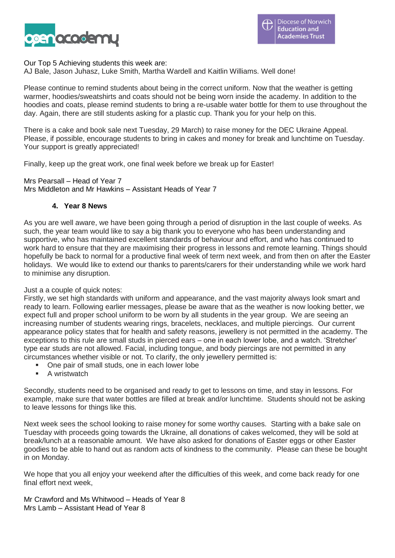

Our Top 5 Achieving students this week are:

AJ Bale, Jason Juhasz, Luke Smith, Martha Wardell and Kaitlin Williams. Well done!

Please continue to remind students about being in the correct uniform. Now that the weather is getting warmer, hoodies/sweatshirts and coats should not be being worn inside the academy. In addition to the hoodies and coats, please remind students to bring a re-usable water bottle for them to use throughout the day. Again, there are still students asking for a plastic cup. Thank you for your help on this.

There is a cake and book sale next Tuesday, 29 March) to raise money for the DEC Ukraine Appeal. Please, if possible, encourage students to bring in cakes and money for break and lunchtime on Tuesday. Your support is greatly appreciated!

Finally, keep up the great work, one final week before we break up for Easter!

Mrs Pearsall – Head of Year 7 Mrs Middleton and Mr Hawkins – Assistant Heads of Year 7

### **4. Year 8 News**

As you are well aware, we have been going through a period of disruption in the last couple of weeks. As such, the year team would like to say a big thank you to everyone who has been understanding and supportive, who has maintained excellent standards of behaviour and effort, and who has continued to work hard to ensure that they are maximising their progress in lessons and remote learning. Things should hopefully be back to normal for a productive final week of term next week, and from then on after the Easter holidays. We would like to extend our thanks to parents/carers for their understanding while we work hard to minimise any disruption.

Just a a couple of quick notes:

Firstly, we set high standards with uniform and appearance, and the vast majority always look smart and ready to learn. Following earlier messages, please be aware that as the weather is now looking better, we expect full and proper school uniform to be worn by all students in the year group. We are seeing an increasing number of students wearing rings, bracelets, necklaces, and multiple piercings. Our current appearance policy states that for health and safety reasons, jewellery is not permitted in the academy. The exceptions to this rule are small studs in pierced ears – one in each lower lobe, and a watch. 'Stretcher' type ear studs are not allowed. Facial, including tongue, and body piercings are not permitted in any circumstances whether visible or not. To clarify, the only jewellery permitted is:

- One pair of small studs, one in each lower lobe
- A wristwatch

Secondly, students need to be organised and ready to get to lessons on time, and stay in lessons. For example, make sure that water bottles are filled at break and/or lunchtime. Students should not be asking to leave lessons for things like this.

Next week sees the school looking to raise money for some worthy causes. Starting with a bake sale on Tuesday with proceeds going towards the Ukraine, all donations of cakes welcomed, they will be sold at break/lunch at a reasonable amount. We have also asked for donations of Easter eggs or other Easter goodies to be able to hand out as random acts of kindness to the community. Please can these be bought in on Monday.

We hope that you all enjoy your weekend after the difficulties of this week, and come back ready for one final effort next week,

Mr Crawford and Ms Whitwood – Heads of Year 8 Mrs Lamb – Assistant Head of Year 8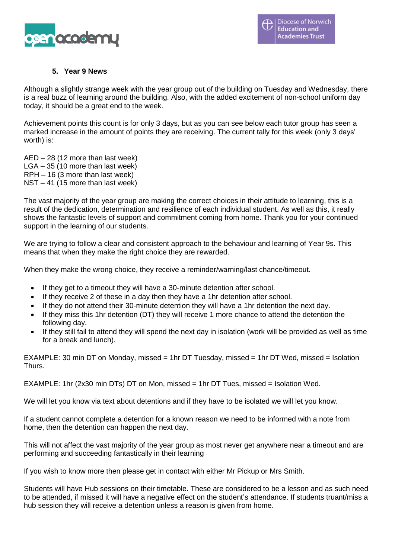

## **5. Year 9 News**

Although a slightly strange week with the year group out of the building on Tuesday and Wednesday, there is a real buzz of learning around the building. Also, with the added excitement of non-school uniform day today, it should be a great end to the week.

Achievement points this count is for only 3 days, but as you can see below each tutor group has seen a marked increase in the amount of points they are receiving. The current tally for this week (only 3 days' worth) is:

AED – 28 (12 more than last week) LGA – 35 (10 more than last week) RPH – 16 (3 more than last week) NST – 41 (15 more than last week)

The vast majority of the year group are making the correct choices in their attitude to learning, this is a result of the dedication, determination and resilience of each individual student. As well as this, it really shows the fantastic levels of support and commitment coming from home. Thank you for your continued support in the learning of our students.

We are trying to follow a clear and consistent approach to the behaviour and learning of Year 9s. This means that when they make the right choice they are rewarded.

When they make the wrong choice, they receive a reminder/warning/last chance/timeout.

- If they get to a timeout they will have a 30-minute detention after school.
- If they receive 2 of these in a day then they have a 1hr detention after school.
- If they do not attend their 30-minute detention they will have a 1hr detention the next day.
- If they miss this 1hr detention (DT) they will receive 1 more chance to attend the detention the following day.
- If they still fail to attend they will spend the next day in isolation (work will be provided as well as time for a break and lunch).

EXAMPLE: 30 min DT on Monday, missed = 1hr DT Tuesday, missed = 1hr DT Wed, missed = Isolation Thurs.

EXAMPLE: 1hr (2x30 min DTs) DT on Mon, missed = 1hr DT Tues, missed = Isolation Wed.

We will let you know via text about detentions and if they have to be isolated we will let you know.

If a student cannot complete a detention for a known reason we need to be informed with a note from home, then the detention can happen the next day.

This will not affect the vast majority of the year group as most never get anywhere near a timeout and are performing and succeeding fantastically in their learning

If you wish to know more then please get in contact with either Mr Pickup or Mrs Smith.

Students will have Hub sessions on their timetable. These are considered to be a lesson and as such need to be attended, if missed it will have a negative effect on the student's attendance. If students truant/miss a hub session they will receive a detention unless a reason is given from home.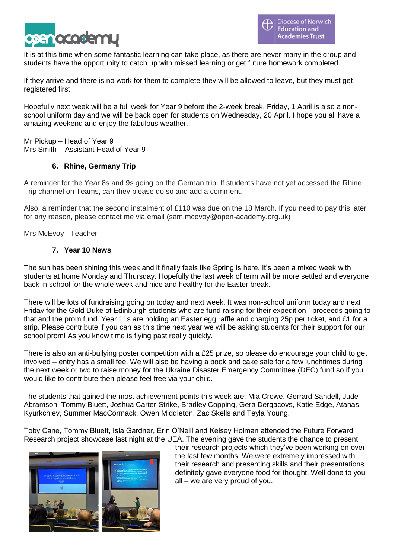

It is at this time when some fantastic learning can take place, as there are never many in the group and students have the opportunity to catch up with missed learning or get future homework completed.

If they arrive and there is no work for them to complete they will be allowed to leave, but they must get registered first.

Hopefully next week will be a full week for Year 9 before the 2-week break. Friday, 1 April is also a nonschool uniform day and we will be back open for students on Wednesday, 20 April. I hope you all have a amazing weekend and enjoy the fabulous weather.

Mr Pickup – Head of Year 9 Mrs Smith – Assistant Head of Year 9

## **6. Rhine, Germany Trip**

A reminder for the Year 8s and 9s going on the German trip. If students have not yet accessed the Rhine Trip channel on Teams, can they please do so and add a comment.

Also, a reminder that the second instalment of £110 was due on the 18 March. If you need to pay this later for any reason, please contact me via email (sam.mcevoy@open-academy.org.uk)

Mrs McEvoy - Teacher

### **7. Year 10 News**

The sun has been shining this week and it finally feels like Spring is here. It's been a mixed week with students at home Monday and Thursday. Hopefully the last week of term will be more settled and everyone back in school for the whole week and nice and healthy for the Easter break.

There will be lots of fundraising going on today and next week. It was non-school uniform today and next Friday for the Gold Duke of Edinburgh students who are fund raising for their expedition –proceeds going to that and the prom fund. Year 11s are holding an Easter egg raffle and charging 25p per ticket, and £1 for a strip. Please contribute if you can as this time next year we will be asking students for their support for our school prom! As you know time is flying past really quickly.

There is also an anti-bullying poster competition with a £25 prize, so please do encourage your child to get involved – entry has a small fee. We will also be having a book and cake sale for a few lunchtimes during the next week or two to raise money for the Ukraine Disaster Emergency Committee (DEC) fund so if you would like to contribute then please feel free via your child.

The students that gained the most achievement points this week are: Mia Crowe, Gerrard Sandell, Jude Abramson, Tommy Bluett, Joshua Carter-Strike, Bradley Copping, Gera Dergacovs, Katie Edge, Atanas Kyurkchiev, Summer MacCormack, Owen Middleton, Zac Skells and Teyla Young.

Toby Cane, Tommy Bluett, Isla Gardner, Erin O'Neill and Kelsey Holman attended the Future Forward Research project showcase last night at the UEA. The evening gave the students the chance to present



their research projects which they've been working on over the last few months. We were extremely impressed with their research and presenting skills and their presentations definitely gave everyone food for thought. Well done to you all – we are very proud of you.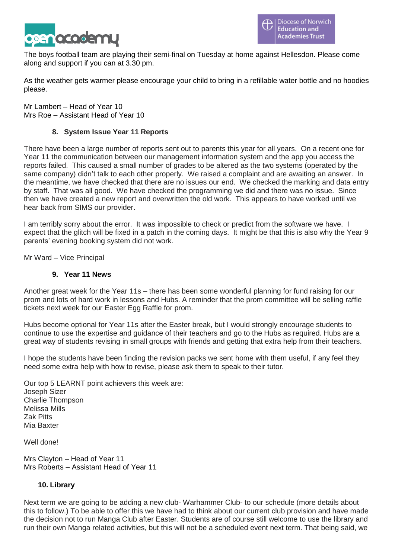

The boys football team are playing their semi-final on Tuesday at home against Hellesdon. Please come along and support if you can at 3.30 pm.

As the weather gets warmer please encourage your child to bring in a refillable water bottle and no hoodies please.

Mr Lambert – Head of Year 10 Mrs Roe – Assistant Head of Year 10

## **8. System Issue Year 11 Reports**

There have been a large number of reports sent out to parents this year for all years. On a recent one for Year 11 the communication between our management information system and the app you access the reports failed. This caused a small number of grades to be altered as the two systems (operated by the same company) didn't talk to each other properly. We raised a complaint and are awaiting an answer. In the meantime, we have checked that there are no issues our end. We checked the marking and data entry by staff. That was all good. We have checked the programming we did and there was no issue. Since then we have created a new report and overwritten the old work. This appears to have worked until we hear back from SIMS our provider.

I am terribly sorry about the error. It was impossible to check or predict from the software we have. I expect that the glitch will be fixed in a patch in the coming days. It might be that this is also why the Year 9 parents' evening booking system did not work.

Mr Ward – Vice Principal

### **9. Year 11 News**

Another great week for the Year 11s – there has been some wonderful planning for fund raising for our prom and lots of hard work in lessons and Hubs. A reminder that the prom committee will be selling raffle tickets next week for our Easter Egg Raffle for prom.

Hubs become optional for Year 11s after the Easter break, but I would strongly encourage students to continue to use the expertise and guidance of their teachers and go to the Hubs as required. Hubs are a great way of students revising in small groups with friends and getting that extra help from their teachers.

I hope the students have been finding the revision packs we sent home with them useful, if any feel they need some extra help with how to revise, please ask them to speak to their tutor.

Our top 5 LEARNT point achievers this week are: Joseph Sizer Charlie Thompson Melissa Mills Zak Pitts Mia Baxter

Well done!

Mrs Clayton – Head of Year 11 Mrs Roberts – Assistant Head of Year 11

### **10. Library**

Next term we are going to be adding a new club- Warhammer Club- to our schedule (more details about this to follow.) To be able to offer this we have had to think about our current club provision and have made the decision not to run Manga Club after Easter. Students are of course still welcome to use the library and run their own Manga related activities, but this will not be a scheduled event next term. That being said, we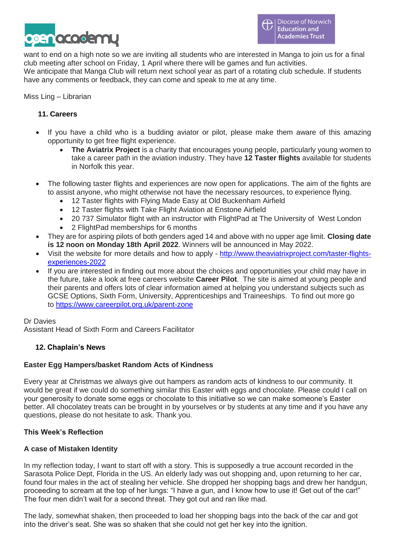

want to end on a high note so we are inviting all students who are interested in Manga to join us for a final club meeting after school on Friday, 1 April where there will be games and fun activities.

We anticipate that Manga Club will return next school year as part of a rotating club schedule. If students have any comments or feedback, they can come and speak to me at any time.

### Miss Ling – Librarian

# **11. Careers**

- If you have a child who is a budding aviator or pilot, please make them aware of this amazing opportunity to get free flight experience.
	- **The Aviatrix Project** is a charity that encourages young people, particularly young women to take a career path in the aviation industry. They have **12 Taster flights** available for students in Norfolk this year.
- The following taster flights and experiences are now open for applications. The aim of the fights are to assist anyone, who might otherwise not have the necessary resources, to experience flying.
	- 12 Taster flights with Flying Made Easy at Old Buckenham Airfield
	- 12 Taster flights with Take Flight Aviation at Enstone Airfield
	- 20 737 Simulator flight with an instructor with FlightPad at The University of West London
	- 2 FlightPad memberships for 6 months
- They are for aspiring pilots of both genders aged 14 and above with no upper age limit. **Closing date is 12 noon on Monday 18th April 2022**. Winners will be announced in May 2022.
- Visit the website for more details and how to apply [http://www.theaviatrixproject.com/taster-flights](http://www.theaviatrixproject.com/taster-flights-experiences-2022)[experiences-2022](http://www.theaviatrixproject.com/taster-flights-experiences-2022)
- If you are interested in finding out more about the choices and opportunities your child may have in the future, take a look at free careers website **Career Pilot**. The site is aimed at young people and their parents and offers lots of clear information aimed at helping you understand subjects such as GCSE Options, Sixth Form, University, Apprenticeships and Traineeships. To find out more go to <https://www.careerpilot.org.uk/parent-zone>

### Dr Davies

Assistant Head of Sixth Form and Careers Facilitator

# **12. Chaplain's News**

### **Easter Egg Hampers/basket Random Acts of Kindness**

Every year at Christmas we always give out hampers as random acts of kindness to our community. It would be great if we could do something similar this Easter with eggs and chocolate. Please could I call on your generosity to donate some eggs or chocolate to this initiative so we can make someone's Easter better. All chocolatey treats can be brought in by yourselves or by students at any time and if you have any questions, please do not hesitate to ask. Thank you.

### **This Week's Reflection**

### **A case of Mistaken Identity**

In my reflection today, I want to start off with a story. This is supposedly a true account recorded in the Sarasota Police Dept, Florida in the US. An elderly lady was out shopping and, upon returning to her car, found four males in the act of stealing her vehicle. She dropped her shopping bags and drew her handgun, proceeding to scream at the top of her lungs: "I have a gun, and I know how to use it! Get out of the car!" The four men didn't wait for a second threat. They got out and ran like mad.

The lady, somewhat shaken, then proceeded to load her shopping bags into the back of the car and got into the driver's seat. She was so shaken that she could not get her key into the ignition.